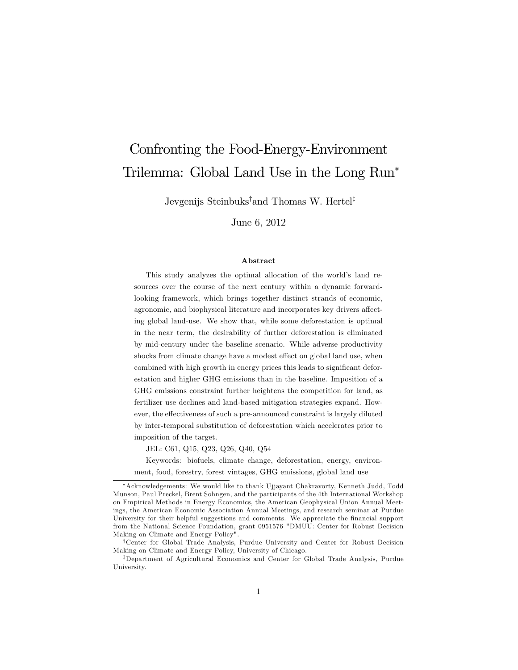# Confronting the Food-Energy-Environment Trilemma: Global Land Use in the Long Run

Jevgenijs Steinbuks<sup>†</sup>and Thomas W. Hertel<sup>‡</sup>

June 6, 2012

#### Abstract

This study analyzes the optimal allocation of the world's land resources over the course of the next century within a dynamic forwardlooking framework, which brings together distinct strands of economic, agronomic, and biophysical literature and incorporates key drivers affecting global land-use. We show that, while some deforestation is optimal in the near term, the desirability of further deforestation is eliminated by mid-century under the baseline scenario. While adverse productivity shocks from climate change have a modest effect on global land use, when combined with high growth in energy prices this leads to significant deforestation and higher GHG emissions than in the baseline. Imposition of a GHG emissions constraint further heightens the competition for land, as fertilizer use declines and land-based mitigation strategies expand. However, the effectiveness of such a pre-announced constraint is largely diluted by inter-temporal substitution of deforestation which accelerates prior to imposition of the target.

JEL: C61, Q15, Q23, Q26, Q40, Q54

Keywords: biofuels, climate change, deforestation, energy, environment, food, forestry, forest vintages, GHG emissions, global land use

Acknowledgements: We would like to thank Ujjayant Chakravorty, Kenneth Judd, Todd Munson, Paul Preckel, Brent Sohngen, and the participants of the 4th International Workshop on Empirical Methods in Energy Economics, the American Geophysical Union Annual Meetings, the American Economic Association Annual Meetings, and research seminar at Purdue University for their helpful suggestions and comments. We appreciate the financial support from the National Science Foundation, grant 0951576 "DMUU: Center for Robust Decision Making on Climate and Energy Policy".

yCenter for Global Trade Analysis, Purdue University and Center for Robust Decision Making on Climate and Energy Policy, University of Chicago.

<sup>&</sup>lt;sup>‡</sup>Department of Agricultural Economics and Center for Global Trade Analysis, Purdue University.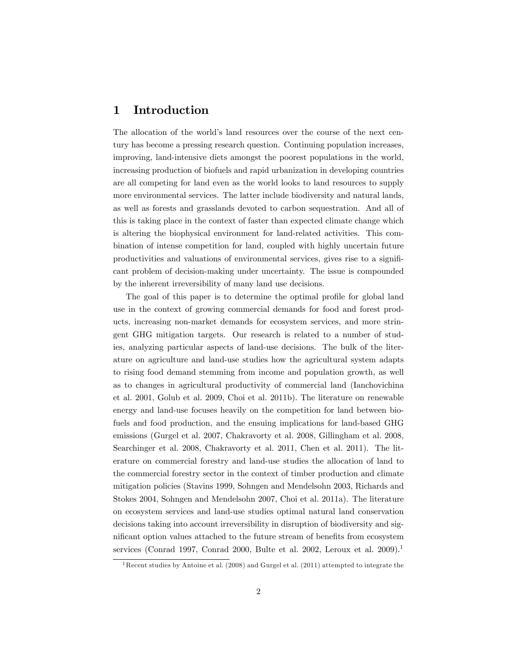# 1 Introduction

The allocation of the world's land resources over the course of the next century has become a pressing research question. Continuing population increases, improving, land-intensive diets amongst the poorest populations in the world, increasing production of biofuels and rapid urbanization in developing countries are all competing for land even as the world looks to land resources to supply more environmental services. The latter include biodiversity and natural lands, as well as forests and grasslands devoted to carbon sequestration. And all of this is taking place in the context of faster than expected climate change which is altering the biophysical environment for land-related activities. This combination of intense competition for land, coupled with highly uncertain future productivities and valuations of environmental services, gives rise to a significant problem of decision-making under uncertainty. The issue is compounded by the inherent irreversibility of many land use decisions.

The goal of this paper is to determine the optimal profile for global land use in the context of growing commercial demands for food and forest products, increasing non-market demands for ecosystem services, and more stringent GHG mitigation targets. Our research is related to a number of studies, analyzing particular aspects of land-use decisions. The bulk of the literature on agriculture and land-use studies how the agricultural system adapts to rising food demand stemming from income and population growth, as well as to changes in agricultural productivity of commercial land (Ianchovichina et al. 2001, Golub et al. 2009, Choi et al. 2011b). The literature on renewable energy and land-use focuses heavily on the competition for land between biofuels and food production, and the ensuing implications for land-based GHG emissions (Gurgel et al. 2007, Chakravorty et al. 2008, Gillingham et al. 2008, Searchinger et al. 2008, Chakravorty et al. 2011, Chen et al. 2011). The literature on commercial forestry and land-use studies the allocation of land to the commercial forestry sector in the context of timber production and climate mitigation policies (Stavins 1999, Sohngen and Mendelsohn 2003, Richards and Stokes 2004, Sohngen and Mendelsohn 2007, Choi et al. 2011a). The literature on ecosystem services and land-use studies optimal natural land conservation decisions taking into account irreversibility in disruption of biodiversity and significant option values attached to the future stream of benefits from ecosystem services (Conrad 1997, Conrad 2000, Bulte et al. 2002, Leroux et al. 2009).<sup>1</sup>

<sup>1</sup>Recent studies by Antoine et al. (2008) and Gurgel et al. (2011) attempted to integrate the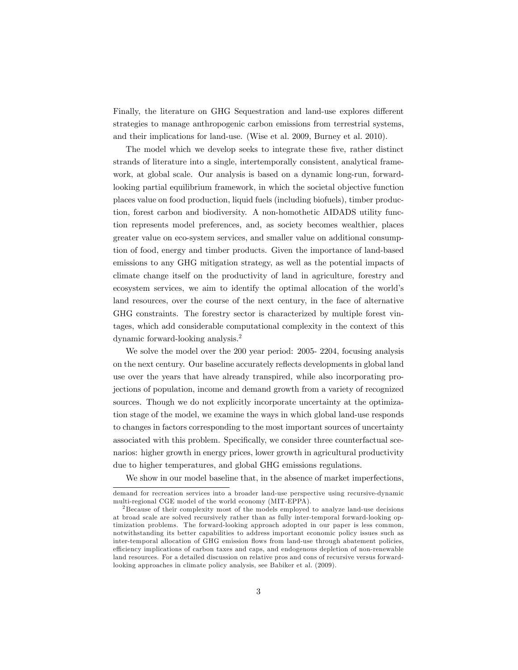Finally, the literature on GHG Sequestration and land-use explores different strategies to manage anthropogenic carbon emissions from terrestrial systems, and their implications for land-use. (Wise et al. 2009, Burney et al. 2010).

The model which we develop seeks to integrate these five, rather distinct strands of literature into a single, intertemporally consistent, analytical framework, at global scale. Our analysis is based on a dynamic long-run, forwardlooking partial equilibrium framework, in which the societal objective function places value on food production, liquid fuels (including biofuels), timber production, forest carbon and biodiversity. A non-homothetic AIDADS utility function represents model preferences, and, as society becomes wealthier, places greater value on eco-system services, and smaller value on additional consumption of food, energy and timber products. Given the importance of land-based emissions to any GHG mitigation strategy, as well as the potential impacts of climate change itself on the productivity of land in agriculture, forestry and ecosystem services, we aim to identify the optimal allocation of the world's land resources, over the course of the next century, in the face of alternative GHG constraints. The forestry sector is characterized by multiple forest vintages, which add considerable computational complexity in the context of this dynamic forward-looking analysis.<sup>2</sup>

We solve the model over the 200 year period: 2005- 2204, focusing analysis on the next century. Our baseline accurately reflects developments in global land use over the years that have already transpired, while also incorporating projections of population, income and demand growth from a variety of recognized sources. Though we do not explicitly incorporate uncertainty at the optimization stage of the model, we examine the ways in which global land-use responds to changes in factors corresponding to the most important sources of uncertainty associated with this problem. Specifically, we consider three counterfactual scenarios: higher growth in energy prices, lower growth in agricultural productivity due to higher temperatures, and global GHG emissions regulations.

We show in our model baseline that, in the absence of market imperfections,

demand for recreation services into a broader land-use perspective using recursive-dynamic multi-regional CGE model of the world economy (MIT-EPPA).

<sup>&</sup>lt;sup>2</sup> Because of their complexity most of the models employed to analyze land-use decisions at broad scale are solved recursively rather than as fully inter-temporal forward-looking optimization problems. The forward-looking approach adopted in our paper is less common, notwithstanding its better capabilities to address important economic policy issues such as inter-temporal allocation of GHG emission flows from land-use through abatement policies, efficiency implications of carbon taxes and caps, and endogenous depletion of non-renewable land resources. For a detailed discussion on relative pros and cons of recursive versus forwardlooking approaches in climate policy analysis, see Babiker et al. (2009).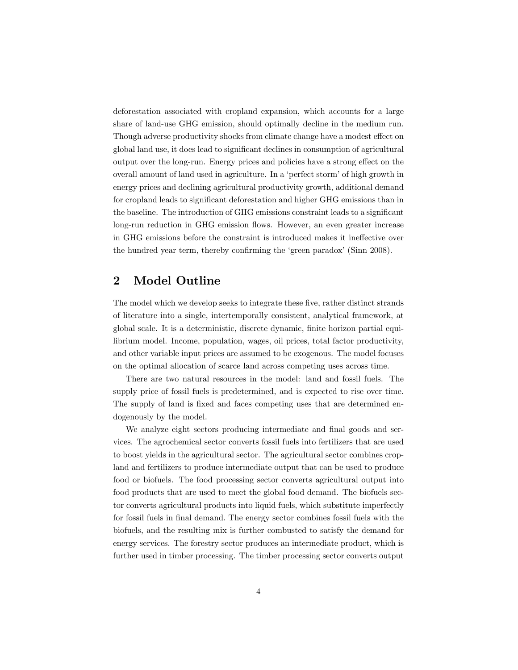deforestation associated with cropland expansion, which accounts for a large share of land-use GHG emission, should optimally decline in the medium run. Though adverse productivity shocks from climate change have a modest effect on global land use, it does lead to significant declines in consumption of agricultural output over the long-run. Energy prices and policies have a strong effect on the overall amount of land used in agriculture. In a 'perfect storm' of high growth in energy prices and declining agricultural productivity growth, additional demand for cropland leads to significant deforestation and higher GHG emissions than in the baseline. The introduction of GHG emissions constraint leads to a significant long-run reduction in GHG emission flows. However, an even greater increase in GHG emissions before the constraint is introduced makes it ineffective over the hundred year term, thereby confirming the 'green paradox' (Sinn 2008).

# 2 Model Outline

The model which we develop seeks to integrate these five, rather distinct strands of literature into a single, intertemporally consistent, analytical framework, at global scale. It is a deterministic, discrete dynamic, Önite horizon partial equilibrium model. Income, population, wages, oil prices, total factor productivity, and other variable input prices are assumed to be exogenous. The model focuses on the optimal allocation of scarce land across competing uses across time.

There are two natural resources in the model: land and fossil fuels. The supply price of fossil fuels is predetermined, and is expected to rise over time. The supply of land is fixed and faces competing uses that are determined endogenously by the model.

We analyze eight sectors producing intermediate and final goods and services. The agrochemical sector converts fossil fuels into fertilizers that are used to boost yields in the agricultural sector. The agricultural sector combines cropland and fertilizers to produce intermediate output that can be used to produce food or biofuels. The food processing sector converts agricultural output into food products that are used to meet the global food demand. The biofuels sector converts agricultural products into liquid fuels, which substitute imperfectly for fossil fuels in final demand. The energy sector combines fossil fuels with the biofuels, and the resulting mix is further combusted to satisfy the demand for energy services. The forestry sector produces an intermediate product, which is further used in timber processing. The timber processing sector converts output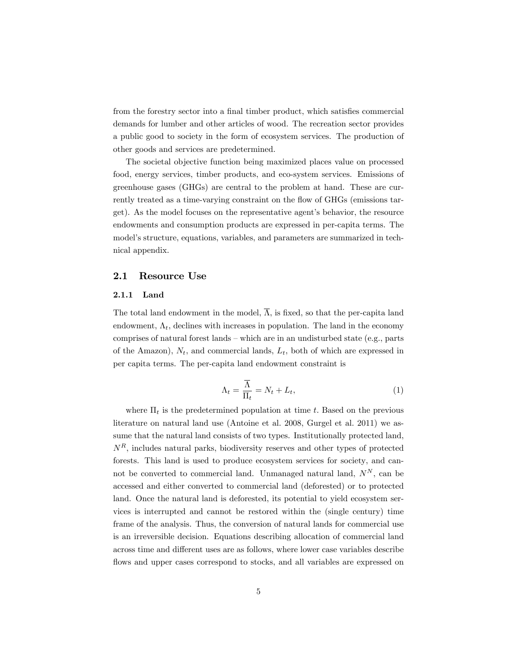from the forestry sector into a final timber product, which satisfies commercial demands for lumber and other articles of wood. The recreation sector provides a public good to society in the form of ecosystem services. The production of other goods and services are predetermined.

The societal objective function being maximized places value on processed food, energy services, timber products, and eco-system services. Emissions of greenhouse gases (GHGs) are central to the problem at hand. These are currently treated as a time-varying constraint on the flow of GHGs (emissions target). As the model focuses on the representative agentís behavior, the resource endowments and consumption products are expressed in per-capita terms. The model's structure, equations, variables, and parameters are summarized in technical appendix.

#### 2.1 Resource Use

#### 2.1.1 Land

The total land endowment in the model,  $\overline{\Lambda}$ , is fixed, so that the per-capita land endowment,  $\Lambda_t$ , declines with increases in population. The land in the economy comprises of natural forest lands  $-$  which are in an undisturbed state (e.g., parts of the Amazon),  $N_t$ , and commercial lands,  $L_t$ , both of which are expressed in per capita terms. The per-capita land endowment constraint is

$$
\Lambda_t = \frac{\overline{\Lambda}}{\Pi_t} = N_t + L_t,\tag{1}
$$

where  $\Pi_t$  is the predetermined population at time t. Based on the previous literature on natural land use (Antoine et al. 2008, Gurgel et al. 2011) we assume that the natural land consists of two types. Institutionally protected land,  $N<sup>R</sup>$ , includes natural parks, biodiversity reserves and other types of protected forests. This land is used to produce ecosystem services for society; and cannot be converted to commercial land. Unmanaged natural land,  $N^N$ , can be accessed and either converted to commercial land (deforested) or to protected land. Once the natural land is deforested, its potential to yield ecosystem services is interrupted and cannot be restored within the (single century) time frame of the analysis. Thus, the conversion of natural lands for commercial use is an irreversible decision. Equations describing allocation of commercial land across time and different uses are as follows, where lower case variables describe flows and upper cases correspond to stocks, and all variables are expressed on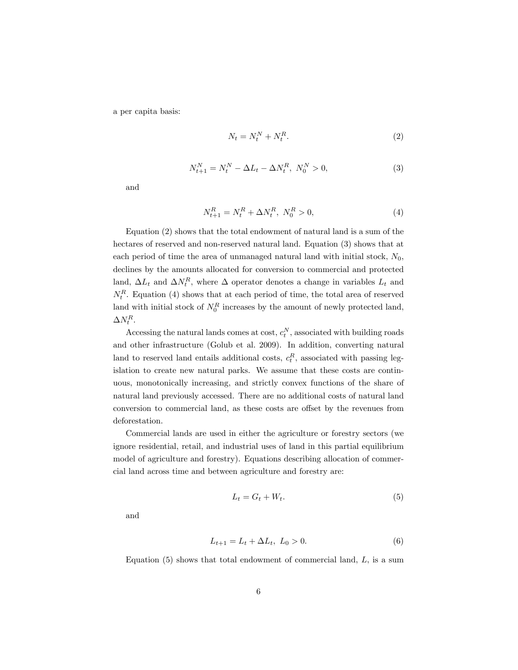a per capita basis:

$$
N_t = N_t^N + N_t^R. \tag{2}
$$

$$
N_{t+1}^N = N_t^N - \Delta L_t - \Delta N_t^R, \ N_0^N > 0,
$$
\n(3)

and

$$
N_{t+1}^R = N_t^R + \Delta N_t^R, \ N_0^R > 0,\tag{4}
$$

Equation (2) shows that the total endowment of natural land is a sum of the hectares of reserved and non-reserved natural land. Equation (3) shows that at each period of time the area of unmanaged natural land with initial stock,  $N_0$ , declines by the amounts allocated for conversion to commercial and protected land,  $\Delta L_t$  and  $\Delta N_t^R$ , where  $\Delta$  operator denotes a change in variables  $L_t$  and  $N_t^R$ . Equation (4) shows that at each period of time, the total area of reserved land with initial stock of  $N_0^R$  increases by the amount of newly protected land,  $\Delta N_t^R$ .

Accessing the natural lands comes at cost,  $c_t^N$ , associated with building roads and other infrastructure (Golub et al. 2009). In addition, converting natural land to reserved land entails additional costs,  $c_t^R$ , associated with passing legislation to create new natural parks. We assume that these costs are continuous, monotonically increasing, and strictly convex functions of the share of natural land previously accessed. There are no additional costs of natural land conversion to commercial land, as these costs are offset by the revenues from deforestation.

Commercial lands are used in either the agriculture or forestry sectors (we ignore residential, retail, and industrial uses of land in this partial equilibrium model of agriculture and forestry). Equations describing allocation of commercial land across time and between agriculture and forestry are:

$$
L_t = G_t + W_t. \tag{5}
$$

and

$$
L_{t+1} = L_t + \Delta L_t, \ L_0 > 0. \tag{6}
$$

Equation  $(5)$  shows that total endowment of commercial land,  $L$ , is a sum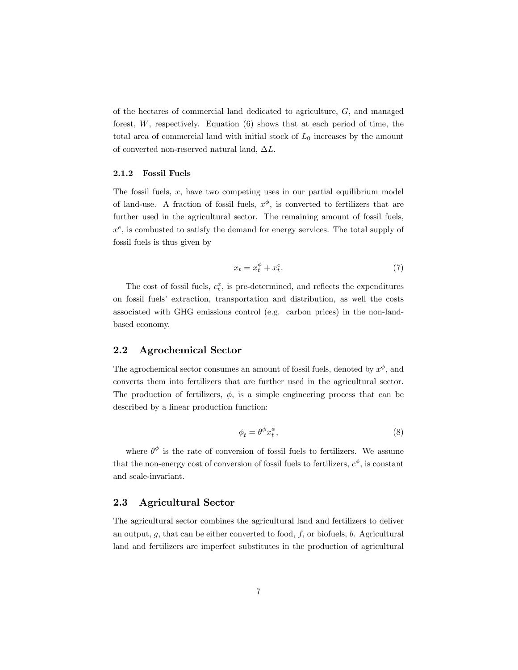of the hectares of commercial land dedicated to agriculture, G; and managed forest, W, respectively. Equation (6) shows that at each period of time, the total area of commercial land with initial stock of  $L_0$  increases by the amount of converted non-reserved natural land,  $\Delta L$ .

#### 2.1.2 Fossil Fuels

The fossil fuels,  $x$ , have two competing uses in our partial equilibrium model of land-use. A fraction of fossil fuels,  $x^{\phi}$ , is converted to fertilizers that are further used in the agricultural sector. The remaining amount of fossil fuels,  $x^e$ , is combusted to satisfy the demand for energy services. The total supply of fossil fuels is thus given by

$$
x_t = x_t^{\phi} + x_t^e. \tag{7}
$$

The cost of fossil fuels,  $c_t^x$ , is pre-determined, and reflects the expenditures on fossil fuelsí extraction, transportation and distribution, as well the costs associated with GHG emissions control (e.g. carbon prices) in the non-landbased economy.

### 2.2 Agrochemical Sector

The agrochemical sector consumes an amount of fossil fuels, denoted by  $x^{\phi}$ , and converts them into fertilizers that are further used in the agricultural sector. The production of fertilizers,  $\phi$ , is a simple engineering process that can be described by a linear production function:

$$
\phi_t = \theta^\phi x_t^\phi,\tag{8}
$$

where  $\theta^{\phi}$  is the rate of conversion of fossil fuels to fertilizers. We assume that the non-energy cost of conversion of fossil fuels to fertilizers,  $c^{\phi}$ , is constant and scale-invariant.

## 2.3 Agricultural Sector

The agricultural sector combines the agricultural land and fertilizers to deliver an output,  $g$ , that can be either converted to food,  $f$ , or biofuels,  $b$ . Agricultural land and fertilizers are imperfect substitutes in the production of agricultural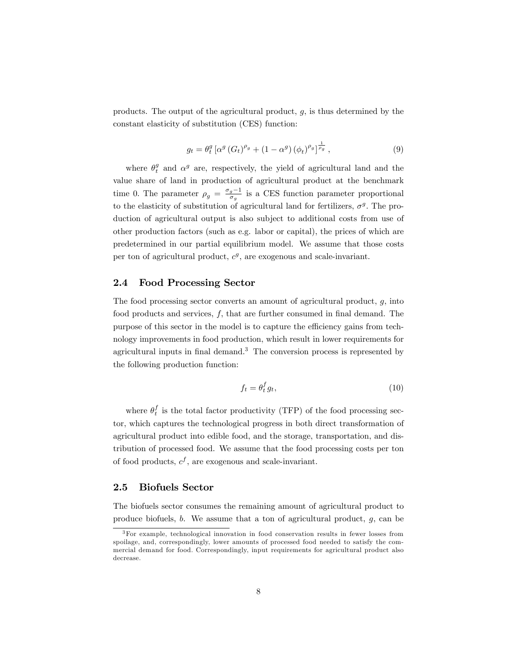products. The output of the agricultural product,  $g$ , is thus determined by the constant elasticity of substitution (CES) function:

$$
g_t = \theta_t^g \left[ \alpha^g \left( G_t \right)^{\rho_g} + \left( 1 - \alpha^g \right) \left( \phi_t \right)^{\rho_g} \right]_{\rho_g}^{\frac{1}{\rho_g}},\tag{9}
$$

where  $\theta_t^g$  and  $\alpha^g$  are, respectively, the yield of agricultural land and the value share of land in production of agricultural product at the benchmark time 0. The parameter  $\rho_g = \frac{\sigma_g - 1}{\sigma_g}$  is a CES function parameter proportional to the elasticity of substitution of agricultural land for fertilizers,  $\sigma^g$ . The production of agricultural output is also subject to additional costs from use of other production factors (such as e.g. labor or capital), the prices of which are predetermined in our partial equilibrium model. We assume that those costs per ton of agricultural product,  $c^g$ , are exogenous and scale-invariant.

#### 2.4 Food Processing Sector

The food processing sector converts an amount of agricultural product,  $q$ , into food products and services,  $f$ , that are further consumed in final demand. The purpose of this sector in the model is to capture the efficiency gains from technology improvements in food production, which result in lower requirements for agricultural inputs in final demand.<sup>3</sup> The conversion process is represented by the following production function:

$$
f_t = \theta_t^f g_t,\tag{10}
$$

where  $\theta_t^f$  is the total factor productivity (TFP) of the food processing sector, which captures the technological progress in both direct transformation of agricultural product into edible food, and the storage, transportation, and distribution of processed food. We assume that the food processing costs per ton of food products,  $c^f$ , are exogenous and scale-invariant.

#### 2.5 Biofuels Sector

The biofuels sector consumes the remaining amount of agricultural product to produce biofuels, b. We assume that a ton of agricultural product,  $q$ , can be

<sup>3</sup>For example, technological innovation in food conservation results in fewer losses from spoilage, and, correspondingly, lower amounts of processed food needed to satisfy the commercial demand for food. Correspondingly, input requirements for agricultural product also decrease.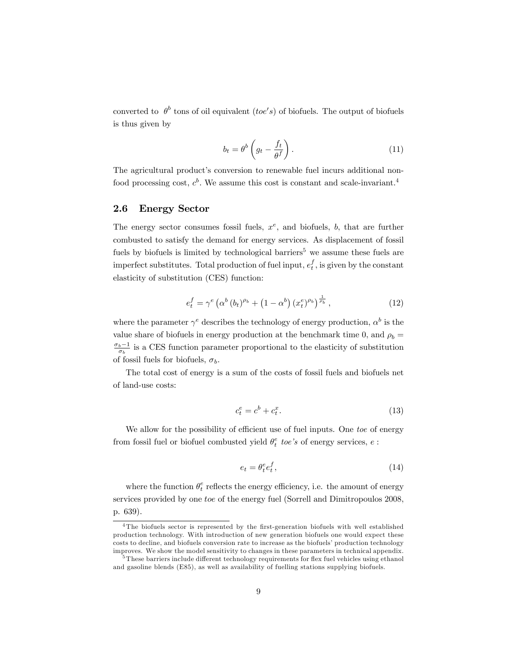converted to  $\theta^b$  tons of oil equivalent (toe's) of biofuels. The output of biofuels is thus given by

$$
b_t = \theta^b \left( g_t - \frac{f_t}{\theta^f} \right). \tag{11}
$$

The agricultural product's conversion to renewable fuel incurs additional nonfood processing cost,  $c^b$ . We assume this cost is constant and scale-invariant.<sup>4</sup>

## 2.6 Energy Sector

The energy sector consumes fossil fuels,  $x^e$ , and biofuels, b, that are further combusted to satisfy the demand for energy services. As displacement of fossil fuels by biofuels is limited by technological barriers<sup>5</sup> we assume these fuels are imperfect substitutes. Total production of fuel input,  $e_t^f$ , is given by the constant elasticity of substitution (CES) function:

$$
e_t^f = \gamma^e \left( \alpha^b \left( b_t \right)^{\rho_b} + \left( 1 - \alpha^b \right) \left( x_t^e \right)^{\rho_b} \right)^{\frac{1}{\rho_b}},\tag{12}
$$

where the parameter  $\gamma^e$  describes the technology of energy production,  $\alpha^b$  is the value share of biofuels in energy production at the benchmark time 0, and  $\rho_b =$  $\frac{\sigma_b-1}{\sigma_b}$  is a CES function parameter proportional to the elasticity of substitution of fossil fuels for biofuels,  $\sigma_b$ .

The total cost of energy is a sum of the costs of fossil fuels and biofuels net of land-use costs:

$$
c_t^e = c^b + c_t^x. \tag{13}
$$

We allow for the possibility of efficient use of fuel inputs. One toe of energy from fossil fuel or biofuel combusted yield  $\theta^e_t$  toe's of energy services,  $e$  :

$$
e_t = \theta_t^e e_t^f,\tag{14}
$$

where the function  $\theta_t^e$  reflects the energy efficiency, i.e. the amount of energy services provided by one toe of the energy fuel (Sorrell and Dimitropoulos 2008, p. 639).

 $4$ The biofuels sector is represented by the first-generation biofuels with well established production technology. With introduction of new generation biofuels one would expect these costs to decline, and biofuels conversion rate to increase as the biofuels' production technology improves. We show the model sensitivity to changes in these parameters in technical appendix.

 $5$ These barriers include different technology requirements for flex fuel vehicles using ethanol and gasoline blends (E85), as well as availability of fuelling stations supplying biofuels.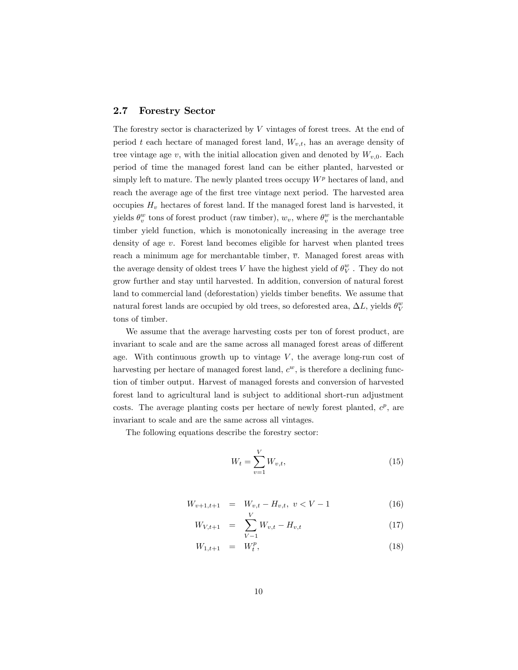#### 2.7 Forestry Sector

The forestry sector is characterized by V vintages of forest trees. At the end of period t each hectare of managed forest land,  $W_{v,t}$ , has an average density of tree vintage age v, with the initial allocation given and denoted by  $W_{v,0}$ . Each period of time the managed forest land can be either planted, harvested or simply left to mature. The newly planted trees occupy  $W<sup>p</sup>$  hectares of land, and reach the average age of the first tree vintage next period. The harvested area occupies  $H_v$  hectares of forest land. If the managed forest land is harvested, it yields  $\theta_v^w$  tons of forest product (raw timber),  $w_v$ , where  $\theta_v^w$  is the merchantable timber yield function, which is monotonically increasing in the average tree density of age v. Forest land becomes eligible for harvest when planted trees reach a minimum age for merchantable timber,  $\overline{v}$ . Managed forest areas with the average density of oldest trees V have the highest yield of  $\theta^w_V$ . They do not grow further and stay until harvested. In addition, conversion of natural forest land to commercial land (deforestation) yields timber benefits. We assume that natural forest lands are occupied by old trees, so deforested area,  $\Delta L,$  yields  $\theta_V^w$ tons of timber.

We assume that the average harvesting costs per ton of forest product, are invariant to scale and are the same across all managed forest areas of different age. With continuous growth up to vintage  $V$ , the average long-run cost of harvesting per hectare of managed forest land,  $c<sup>w</sup>$ , is therefore a declining function of timber output. Harvest of managed forests and conversion of harvested forest land to agricultural land is subject to additional short-run adjustment costs. The average planting costs per hectare of newly forest planted,  $c^p$ , are invariant to scale and are the same across all vintages.

The following equations describe the forestry sector:

$$
W_t = \sum_{v=1}^{V} W_{v,t},
$$
\n(15)

$$
W_{v+1,t+1} = W_{v,t} - H_{v,t}, \ v < V - 1
$$
\n<sup>(16)</sup>

$$
W_{V,t+1} = \sum_{V-1} W_{v,t} - H_{v,t} \tag{17}
$$

$$
W_{1,t+1} = W_t^p, \t\t(18)
$$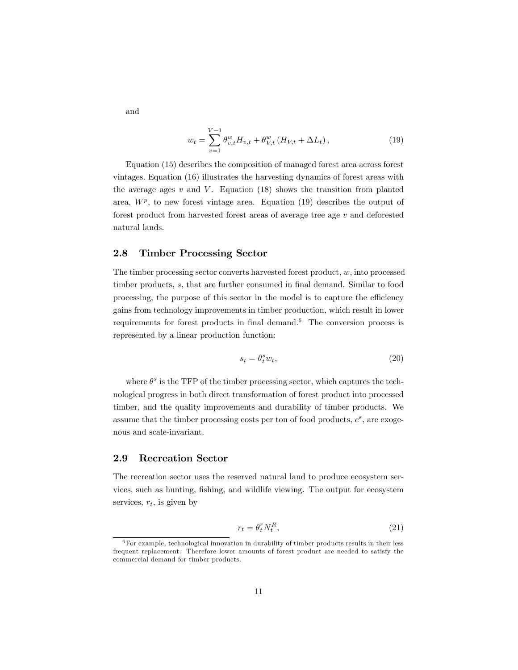and

$$
w_t = \sum_{v=1}^{V-1} \theta_{v,t}^w H_{v,t} + \theta_{V,t}^w (H_{V,t} + \Delta L_t), \qquad (19)
$$

Equation (15) describes the composition of managed forest area across forest vintages: Equation (16) illustrates the harvesting dynamics of forest areas with the average ages  $v$  and  $V$ . Equation (18) shows the transition from planted area,  $W^p$ , to new forest vintage area. Equation (19) describes the output of forest product from harvested forest areas of average tree age v and deforested natural lands.

#### 2.8 Timber Processing Sector

The timber processing sector converts harvested forest product,  $w$ , into processed timber products, s, that are further consumed in final demand. Similar to food processing, the purpose of this sector in the model is to capture the efficiency gains from technology improvements in timber production, which result in lower requirements for forest products in final demand.<sup>6</sup> The conversion process is represented by a linear production function:

$$
s_t = \theta_t^s w_t,\tag{20}
$$

where  $\theta^s$  is the TFP of the timber processing sector, which captures the technological progress in both direct transformation of forest product into processed timber, and the quality improvements and durability of timber products. We assume that the timber processing costs per ton of food products,  $c^s$ , are exogenous and scale-invariant.

## 2.9 Recreation Sector

The recreation sector uses the reserved natural land to produce ecosystem services, such as hunting, fishing, and wildlife viewing. The output for ecosystem services,  $r_t$ , is given by

$$
r_t = \theta_t^r N_t^R,\tag{21}
$$

 $6$  For example, technological innovation in durability of timber products results in their less frequent replacement. Therefore lower amounts of forest product are needed to satisfy the commercial demand for timber products.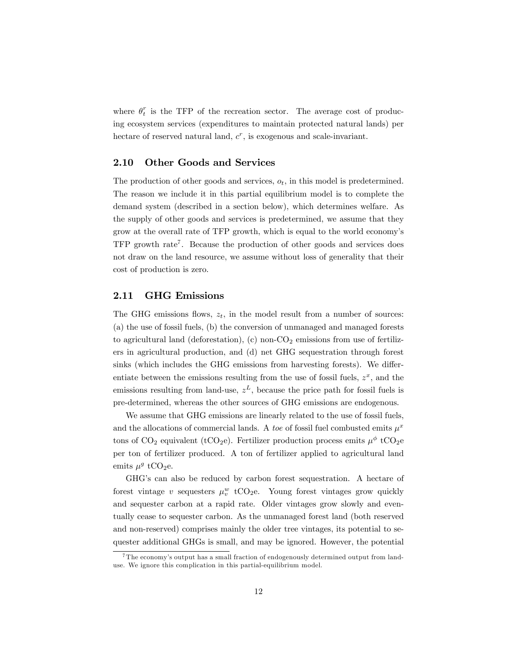where  $\theta_t^r$  is the TFP of the recreation sector. The average cost of producing ecosystem services (expenditures to maintain protected natural lands) per hectare of reserved natural land,  $c^r$ , is exogenous and scale-invariant.

## 2.10 Other Goods and Services

The production of other goods and services,  $o_t$ , in this model is predetermined. The reason we include it in this partial equilibrium model is to complete the demand system (described in a section below), which determines welfare. As the supply of other goods and services is predetermined, we assume that they grow at the overall rate of TFP growth, which is equal to the world economyís TFP growth rate<sup>7</sup>. Because the production of other goods and services does not draw on the land resource, we assume without loss of generality that their cost of production is zero.

## 2.11 GHG Emissions

The GHG emissions flows,  $z_t$ , in the model result from a number of sources: (a) the use of fossil fuels, (b) the conversion of unmanaged and managed forests to agricultural land (deforestation), (c) non- $CO<sub>2</sub>$  emissions from use of fertilizers in agricultural production, and (d) net GHG sequestration through forest sinks (which includes the GHG emissions from harvesting forests). We differentiate between the emissions resulting from the use of fossil fuels,  $z^x$ , and the emissions resulting from land-use,  $z<sup>L</sup>$ , because the price path for fossil fuels is pre-determined, whereas the other sources of GHG emissions are endogenous.

We assume that GHG emissions are linearly related to the use of fossil fuels, and the allocations of commercial lands. A *toe* of fossil fuel combusted emits  $\mu^x$ tons of CO<sub>2</sub> equivalent (tCO<sub>2</sub>e). Fertilizer production process emits  $\mu^{\phi}$  tCO<sub>2</sub>e per ton of fertilizer produced. A ton of fertilizer applied to agricultural land emits  $\mu^g$  tCO<sub>2</sub>e.

GHG's can also be reduced by carbon forest sequestration. A hectare of forest vintage v sequesters  $\mu_v^w$  tCO<sub>2</sub>e. Young forest vintages grow quickly and sequester carbon at a rapid rate. Older vintages grow slowly and eventually cease to sequester carbon. As the unmanaged forest land (both reserved and non-reserved) comprises mainly the older tree vintages, its potential to sequester additional GHGs is small, and may be ignored. However, the potential

<sup>&</sup>lt;sup>7</sup>The economy's output has a small fraction of endogenously determined output from landuse. We ignore this complication in this partial-equilibrium model.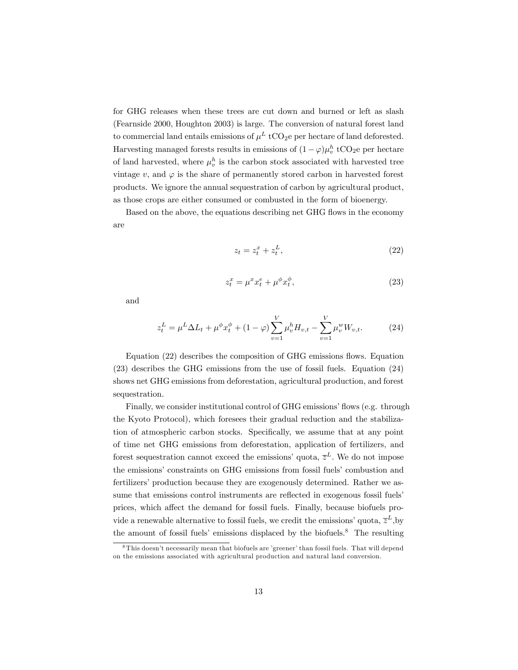for GHG releases when these trees are cut down and burned or left as slash (Fearnside 2000, Houghton 2003) is large. The conversion of natural forest land to commercial land entails emissions of  $\mu^L$  tCO<sub>2</sub>e per hectare of land deforested. Harvesting managed forests results in emissions of  $(1 - \varphi)\mu_v^h$  tCO<sub>2</sub>e per hectare of land harvested, where  $\mu_v^h$  is the carbon stock associated with harvested tree vintage v, and  $\varphi$  is the share of permanently stored carbon in harvested forest products. We ignore the annual sequestration of carbon by agricultural product, as those crops are either consumed or combusted in the form of bioenergy.

Based on the above, the equations describing net GHG flows in the economy are

$$
z_t = z_t^x + z_t^L,\t\t(22)
$$

$$
z_t^x = \mu^x x_t^e + \mu^\phi x_t^\phi,\tag{23}
$$

and

$$
z_t^L = \mu^L \Delta L_t + \mu^{\phi} x_t^{\phi} + (1 - \varphi) \sum_{v=1}^V \mu_v^h H_{v,t} - \sum_{v=1}^V \mu_v^w W_{v,t}.
$$
 (24)

Equation  $(22)$  describes the composition of GHG emissions flows. Equation (23) describes the GHG emissions from the use of fossil fuels. Equation (24) shows net GHG emissions from deforestation, agricultural production, and forest sequestration.

Finally, we consider institutional control of GHG emissions' flows (e.g. through the Kyoto Protocol), which foresees their gradual reduction and the stabilization of atmospheric carbon stocks. Specifically, we assume that at any point of time net GHG emissions from deforestation, application of fertilizers, and forest sequestration cannot exceed the emissions' quota,  $\bar{z}^L$ . We do not impose the emissions' constraints on GHG emissions from fossil fuels' combustion and fertilizers' production because they are exogenously determined. Rather we assume that emissions control instruments are reflected in exogenous fossil fuels<sup>'</sup> prices, which affect the demand for fossil fuels. Finally, because biofuels provide a renewable alternative to fossil fuels, we credit the emissions' quota,  $\bar{z}^L$ , by the amount of fossil fuels' emissions displaced by the biofuels.<sup>8</sup> The resulting

 $8$ This doesn't necessarily mean that biofuels are 'greener' than fossil fuels. That will depend on the emissions associated with agricultural production and natural land conversion.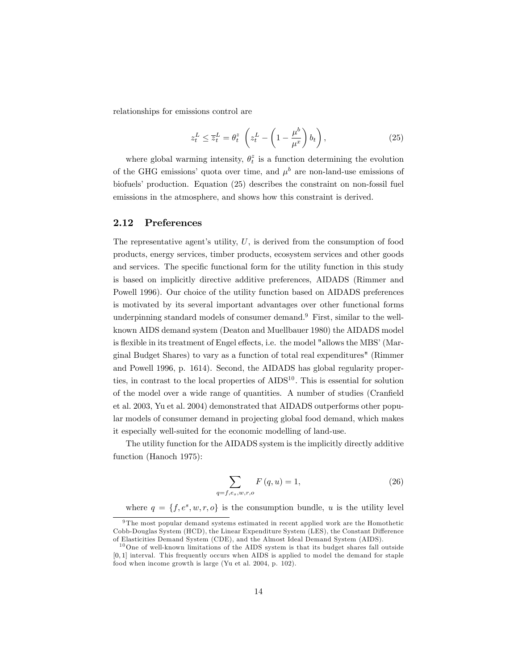relationships for emissions control are

$$
z_t^L \le \overline{z}_t^L = \theta_t^z \left( z_t^L - \left( 1 - \frac{\mu^b}{\mu^x} \right) b_t \right), \tag{25}
$$

where global warming intensity,  $\theta_t^z$  is a function determining the evolution of the GHG emissions' quota over time, and  $\mu^b$  are non-land-use emissions of biofuels' production. Equation  $(25)$  describes the constraint on non-fossil fuel emissions in the atmosphere, and shows how this constraint is derived.

#### 2.12 Preferences

The representative agent's utility,  $U$ , is derived from the consumption of food products, energy services, timber products, ecosystem services and other goods and services. The specific functional form for the utility function in this study is based on implicitly directive additive preferences, AIDADS (Rimmer and Powell 1996). Our choice of the utility function based on AIDADS preferences is motivated by its several important advantages over other functional forms underpinning standard models of consumer demand.<sup>9</sup> First, similar to the wellknown AIDS demand system (Deaton and Muellbauer 1980) the AIDADS model is flexible in its treatment of Engel effects, i.e. the model "allows the MBS' (Marginal Budget Shares) to vary as a function of total real expenditures" (Rimmer and Powell 1996, p. 1614). Second, the AIDADS has global regularity properties, in contrast to the local properties of  $\text{AIDS}^{10}$ . This is essential for solution of the model over a wide range of quantities. A number of studies (Cranfield et al. 2003, Yu et al. 2004) demonstrated that AIDADS outperforms other popular models of consumer demand in projecting global food demand, which makes it especially well-suited for the economic modelling of land-use.

The utility function for the AIDADS system is the implicitly directly additive function (Hanoch 1975):

$$
\sum_{f,e_s,w,r,o} F(q,u) = 1,
$$
\n(26)

where  $q = \{f, e^s, w, r, o\}$  is the consumption bundle, u is the utility level

 $q=$ 

<sup>&</sup>lt;sup>9</sup> The most popular demand systems estimated in recent applied work are the Homothetic Cobb-Douglas System (HCD), the Linear Expenditure System (LES), the Constant Difference of Elasticities Demand System (CDE), and the Almost Ideal Demand System (AIDS).

<sup>10</sup>One of well-known limitations of the AIDS system is that its budget shares fall outside [0; 1] interval. This frequently occurs when AIDS is applied to model the demand for staple food when income growth is large (Yu et al. 2004, p. 102).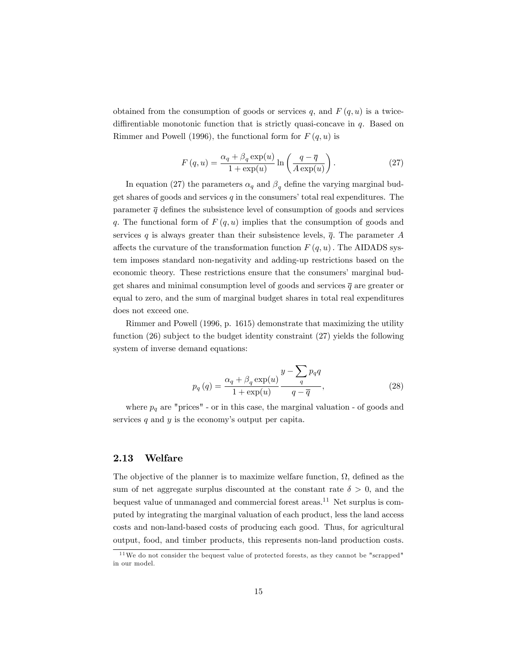obtained from the consumption of goods or services q, and  $F(q, u)$  is a twicediffirentiable monotonic function that is strictly quasi-concave in  $q$ . Based on Rimmer and Powell (1996), the functional form for  $F(q, u)$  is

$$
F(q, u) = \frac{\alpha_q + \beta_q \exp(u)}{1 + \exp(u)} \ln \left( \frac{q - \overline{q}}{A \exp(u)} \right).
$$
 (27)

In equation (27) the parameters  $\alpha_q$  and  $\beta_q$  define the varying marginal budget shares of goods and services  $q$  in the consumers' total real expenditures. The parameter  $\bar{q}$  defines the subsistence level of consumption of goods and services q. The functional form of  $F(q, u)$  implies that the consumption of goods and services q is always greater than their subsistence levels,  $\bar{q}$ . The parameter A affects the curvature of the transformation function  $F(q, u)$ . The AIDADS system imposes standard non-negativity and adding-up restrictions based on the economic theory. These restrictions ensure that the consumers' marginal budget shares and minimal consumption level of goods and services  $\bar{q}$  are greater or equal to zero, and the sum of marginal budget shares in total real expenditures does not exceed one.

Rimmer and Powell (1996, p. 1615) demonstrate that maximizing the utility function (26) subject to the budget identity constraint (27) yields the following system of inverse demand equations:

$$
p_q(q) = \frac{\alpha_q + \beta_q \exp(u)}{1 + \exp(u)} \frac{y - \sum_q p_q q}{q - \overline{q}},
$$
\n(28)

where  $p_q$  are "prices" - or in this case, the marginal valuation - of goods and services  $q$  and  $y$  is the economy's output per capita.

## 2.13 Welfare

The objective of the planner is to maximize welfare function,  $\Omega$ , defined as the sum of net aggregate surplus discounted at the constant rate  $\delta > 0$ , and the bequest value of unmanaged and commercial forest areas.<sup>11</sup> Net surplus is computed by integrating the marginal valuation of each product, less the land access costs and non-land-based costs of producing each good. Thus, for agricultural output, food, and timber products, this represents non-land production costs.

<sup>11</sup>We do not consider the bequest value of protected forests, as they cannot be "scrapped" in our model.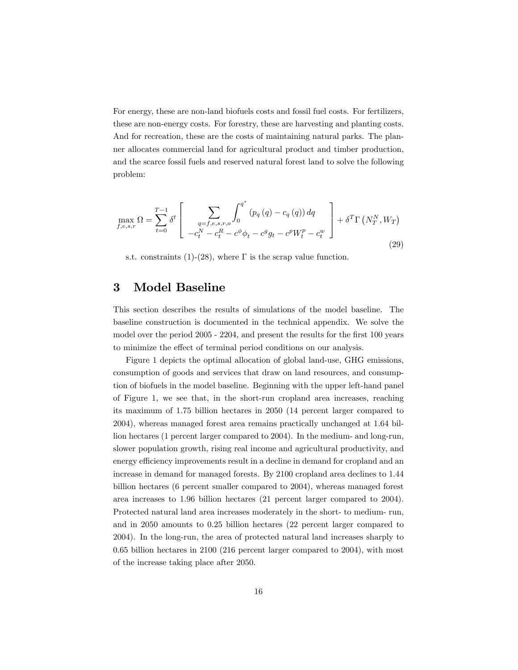For energy, these are non-land biofuels costs and fossil fuel costs. For fertilizers, these are non-energy costs. For forestry, these are harvesting and planting costs. And for recreation, these are the costs of maintaining natural parks. The planner allocates commercial land for agricultural product and timber production, and the scarce fossil fuels and reserved natural forest land to solve the following problem:

$$
\max_{f,e,s,r} \Omega = \sum_{t=0}^{T-1} \delta^t \left[ \sum_{\substack{q=f,e,s,r,o\\-c_t^N-c_t^R-c^\phi \phi_t - c^g g_t - c^p W_t^p - c_t^w}} \int_0^{q^*} (p_q(q) - c_q(q)) dq \right] + \delta^T \Gamma \left( N_T^N, W_T \right)
$$
\n(29)

s.t. constraints (1)-(28), where  $\Gamma$  is the scrap value function.

## 3 Model Baseline

This section describes the results of simulations of the model baseline. The baseline construction is documented in the technical appendix. We solve the model over the period 2005 - 2204, and present the results for the first 100 years to minimize the effect of terminal period conditions on our analysis.

Figure 1 depicts the optimal allocation of global land-use, GHG emissions, consumption of goods and services that draw on land resources, and consumption of biofuels in the model baseline. Beginning with the upper left-hand panel of Figure 1, we see that, in the short-run cropland area increases, reaching its maximum of 1.75 billion hectares in 2050 (14 percent larger compared to 2004), whereas managed forest area remains practically unchanged at 1.64 billion hectares (1 percent larger compared to 2004). In the medium- and long-run, slower population growth, rising real income and agricultural productivity, and energy efficiency improvements result in a decline in demand for cropland and an increase in demand for managed forests. By 2100 cropland area declines to 1.44 billion hectares (6 percent smaller compared to 2004), whereas managed forest area increases to 1.96 billion hectares (21 percent larger compared to 2004). Protected natural land area increases moderately in the short- to medium- run, and in 2050 amounts to 0.25 billion hectares (22 percent larger compared to 2004). In the long-run, the area of protected natural land increases sharply to 0.65 billion hectares in 2100 (216 percent larger compared to 2004), with most of the increase taking place after 2050.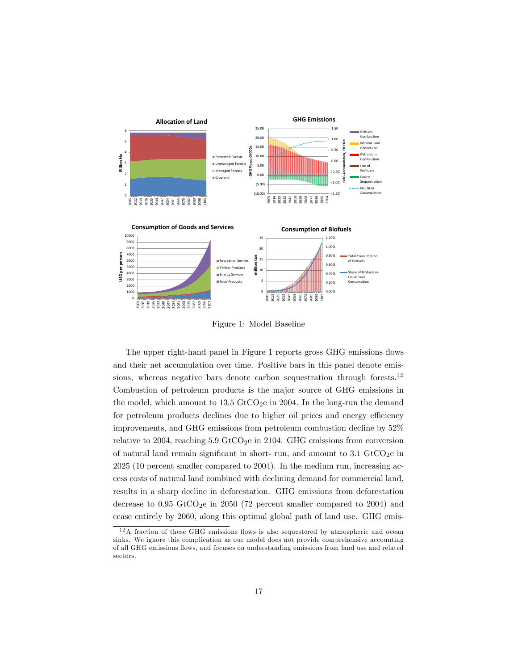

Figure 1: Model Baseline

The upper right-hand panel in Figure 1 reports gross GHG emissions flows and their net accumulation over time. Positive bars in this panel denote emissions, whereas negative bars denote carbon sequestration through forests.<sup>12</sup> Combustion of petroleum products is the major source of GHG emissions in the model, which amount to  $13.5 \text{ GtCO}_2$ e in 2004. In the long-run the demand for petroleum products declines due to higher oil prices and energy efficiency improvements, and GHG emissions from petroleum combustion decline by 52% relative to 2004, reaching  $5.9$  GtCO<sub>2</sub>e in 2104. GHG emissions from conversion of natural land remain significant in short- run, and amount to  $3.1 \text{ GtCO}_2$ e in 2025 (10 percent smaller compared to 2004). In the medium run, increasing access costs of natural land combined with declining demand for commercial land, results in a sharp decline in deforestation. GHG emissions from deforestation decrease to  $0.95 \text{ GtCO}_2$ e in 2050 (72 percent smaller compared to 2004) and cease entirely by 2060, along this optimal global path of land use. GHG emis-

 $12A$  fraction of these GHG emissions flows is also sequestered by atmospheric and ocean sinks. We ignore this complication as our model does not provide comprehensive accounting of all GHG emissions áows, and focuses on understanding emissions from land use and related sectors.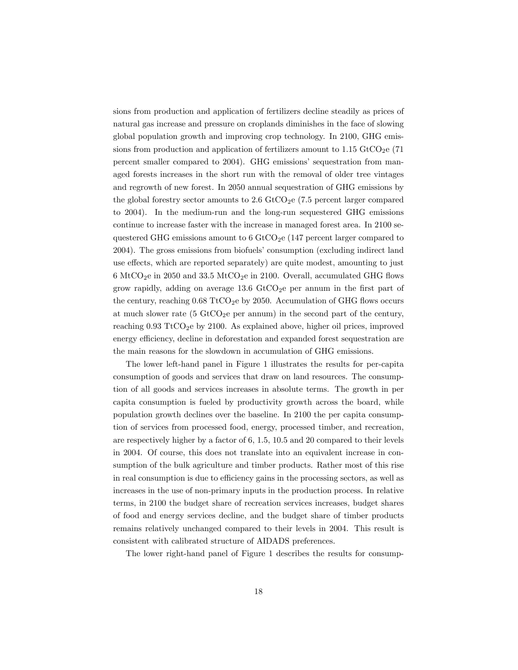sions from production and application of fertilizers decline steadily as prices of natural gas increase and pressure on croplands diminishes in the face of slowing global population growth and improving crop technology. In 2100, GHG emissions from production and application of fertilizers amount to  $1.15 \text{ GtCO}_2$ e (71 percent smaller compared to 2004). GHG emissions' sequestration from managed forests increases in the short run with the removal of older tree vintages and regrowth of new forest. In 2050 annual sequestration of GHG emissions by the global forestry sector amounts to  $2.6$  GtCO<sub>2</sub>e (7.5 percent larger compared to 2004). In the medium-run and the long-run sequestered GHG emissions continue to increase faster with the increase in managed forest area. In 2100 sequestered GHG emissions amount to  $6 \text{ GtCO}_2$ e (147 percent larger compared to 2004). The gross emissions from biofuels' consumption (excluding indirect land use effects, which are reported separately) are quite modest, amounting to just 6 MtCO<sub>2</sub>e in 2050 and 33.5 MtCO<sub>2</sub>e in 2100. Overall, accumulated GHG flows grow rapidly, adding on average  $13.6$  GtCO<sub>2</sub>e per annum in the first part of the century, reaching  $0.68 \text{ TtCO}_2$ e by 2050. Accumulation of GHG flows occurs at much slower rate (5 GtCO<sub>2</sub>e per annum) in the second part of the century, reaching  $0.93 \text{ TtCO}_2$ e by 2100. As explained above, higher oil prices, improved energy efficiency, decline in deforestation and expanded forest sequestration are the main reasons for the slowdown in accumulation of GHG emissions.

The lower left-hand panel in Figure 1 illustrates the results for per-capita consumption of goods and services that draw on land resources. The consumption of all goods and services increases in absolute terms. The growth in per capita consumption is fueled by productivity growth across the board, while population growth declines over the baseline. In 2100 the per capita consumption of services from processed food, energy, processed timber, and recreation, are respectively higher by a factor of 6, 1.5, 10.5 and 20 compared to their levels in 2004. Of course, this does not translate into an equivalent increase in consumption of the bulk agriculture and timber products. Rather most of this rise in real consumption is due to efficiency gains in the processing sectors, as well as increases in the use of non-primary inputs in the production process. In relative terms, in 2100 the budget share of recreation services increases, budget shares of food and energy services decline, and the budget share of timber products remains relatively unchanged compared to their levels in 2004. This result is consistent with calibrated structure of AIDADS preferences.

The lower right-hand panel of Figure 1 describes the results for consump-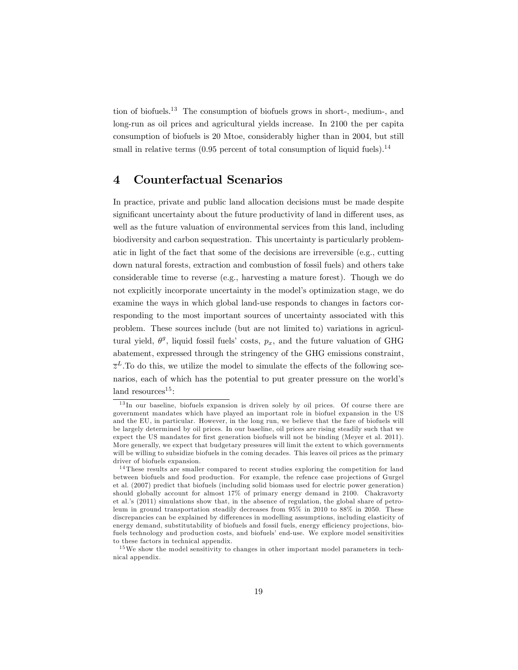tion of biofuels.<sup>13</sup> The consumption of biofuels grows in short-, medium-, and long-run as oil prices and agricultural yields increase. In 2100 the per capita consumption of biofuels is 20 Mtoe, considerably higher than in 2004, but still small in relative terms  $(0.95$  percent of total consumption of liquid fuels).<sup>14</sup>

# 4 Counterfactual Scenarios

In practice, private and public land allocation decisions must be made despite significant uncertainty about the future productivity of land in different uses, as well as the future valuation of environmental services from this land, including biodiversity and carbon sequestration. This uncertainty is particularly problematic in light of the fact that some of the decisions are irreversible (e.g., cutting down natural forests, extraction and combustion of fossil fuels) and others take considerable time to reverse (e.g., harvesting a mature forest). Though we do not explicitly incorporate uncertainty in the model's optimization stage, we do examine the ways in which global land-use responds to changes in factors corresponding to the most important sources of uncertainty associated with this problem. These sources include (but are not limited to) variations in agricultural yield,  $\theta^g$ , liquid fossil fuels' costs,  $p_x$ , and the future valuation of GHG abatement, expressed through the stringency of the GHG emissions constraint,  $\bar{z}^L$ . To do this, we utilize the model to simulate the effects of the following scenarios, each of which has the potential to put greater pressure on the world's land resources $15$ :

<sup>13</sup> In our baseline, biofuels expansion is driven solely by oil prices. Of course there are government mandates which have played an important role in biofuel expansion in the US and the EU, in particular. However, in the long run, we believe that the fare of biofuels will be largely determined by oil prices. In our baseline, oil prices are rising steadily such that we expect the US mandates for first generation biofuels will not be binding (Meyer et al. 2011). More generally, we expect that budgetary pressures will limit the extent to which governments will be willing to subsidize biofuels in the coming decades. This leaves oil prices as the primary driver of biofuels expansion.

<sup>14</sup> These results are smaller compared to recent studies exploring the competition for land between biofuels and food production. For example, the refence case projections of Gurgel et al. (2007) predict that biofuels (including solid biomass used for electric power generation) should globally account for almost 17% of primary energy demand in 2100. Chakravorty et al.ís (2011) simulations show that, in the absence of regulation, the global share of petroleum in ground transportation steadily decreases from 95% in 2010 to 88% in 2050. These discrepancies can be explained by differences in modelling assumptions, including elasticity of energy demand, substitutability of biofuels and fossil fuels, energy efficiency projections, biofuels technology and production costs, and biofuels' end-use. We explore model sensitivities to these factors in technical appendix.

<sup>&</sup>lt;sup>15</sup>We show the model sensitivity to changes in other important model parameters in technical appendix.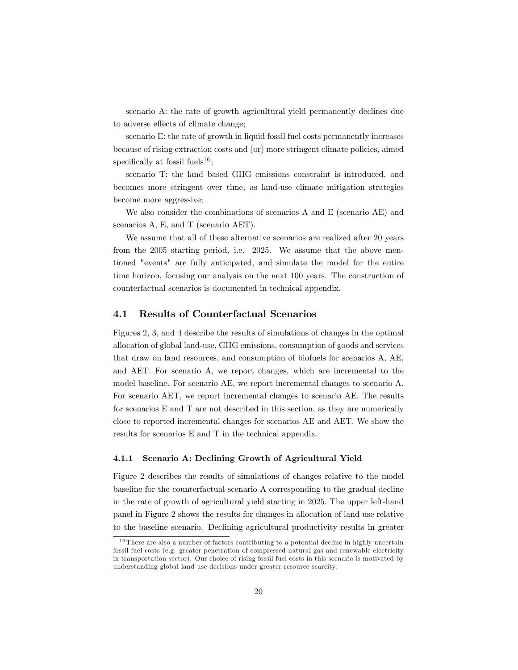scenario A: the rate of growth agricultural yield permanently declines due to adverse effects of climate change;

scenario E: the rate of growth in liquid fossil fuel costs permanently increases because of rising extraction costs and (or) more stringent climate policies, aimed specifically at fossil fuels<sup>16</sup>;

scenario T: the land based GHG emissions constraint is introduced, and becomes more stringent over time, as land-use climate mitigation strategies become more aggressive;

We also consider the combinations of scenarios A and E (scenario AE) and scenarios A, E, and T (scenario AET).

We assume that all of these alternative scenarios are realized after 20 years from the 2005 starting period, i.e. 2025. We assume that the above mentioned "events" are fully anticipated, and simulate the model for the entire time horizon, focusing our analysis on the next 100 years. The construction of counterfactual scenarios is documented in technical appendix.

### 4.1 Results of Counterfactual Scenarios

Figures 2, 3, and 4 describe the results of simulations of changes in the optimal allocation of global land-use, GHG emissions, consumption of goods and services that draw on land resources, and consumption of biofuels for scenarios A, AE, and AET. For scenario A, we report changes, which are incremental to the model baseline. For scenario AE, we report incremental changes to scenario A. For scenario AET, we report incremental changes to scenario AE. The results for scenarios E and T are not described in this section, as they are numerically close to reported incremental changes for scenarios AE and AET. We show the results for scenarios E and T in the technical appendix.

#### 4.1.1 Scenario A: Declining Growth of Agricultural Yield

Figure 2 describes the results of simulations of changes relative to the model baseline for the counterfactual scenario A corresponding to the gradual decline in the rate of growth of agricultural yield starting in 2025. The upper left-hand panel in Figure 2 shows the results for changes in allocation of land use relative to the baseline scenario. Declining agricultural productivity results in greater

<sup>&</sup>lt;sup>16</sup> There are also a number of factors contributing to a potential decline in highly uncertain fossil fuel costs (e.g. greater penetration of compressed natural gas and renewable electricity in transportation sector). Our choice of rising fossil fuel costs in this scenario is motivated by understanding global land use decisions under greater resource scarcity.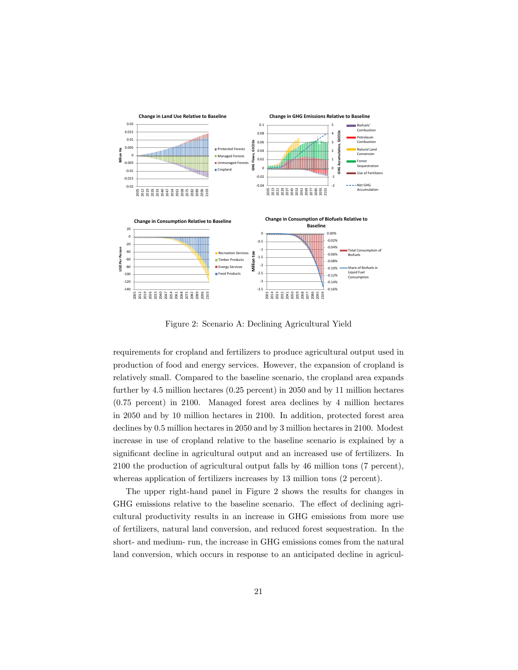

Figure 2: Scenario A: Declining Agricultural Yield

requirements for cropland and fertilizers to produce agricultural output used in production of food and energy services. However, the expansion of cropland is relatively small. Compared to the baseline scenario, the cropland area expands further by 4.5 million hectares (0.25 percent) in 2050 and by 11 million hectares (0.75 percent) in 2100. Managed forest area declines by 4 million hectares in 2050 and by 10 million hectares in 2100. In addition, protected forest area declines by 0.5 million hectares in 2050 and by 3 million hectares in 2100. Modest increase in use of cropland relative to the baseline scenario is explained by a significant decline in agricultural output and an increased use of fertilizers. In 2100 the production of agricultural output falls by 46 million tons (7 percent), whereas application of fertilizers increases by 13 million tons (2 percent).

The upper right-hand panel in Figure 2 shows the results for changes in GHG emissions relative to the baseline scenario. The effect of declining agricultural productivity results in an increase in GHG emissions from more use of fertilizers, natural land conversion, and reduced forest sequestration. In the short- and medium- run, the increase in GHG emissions comes from the natural land conversion, which occurs in response to an anticipated decline in agricul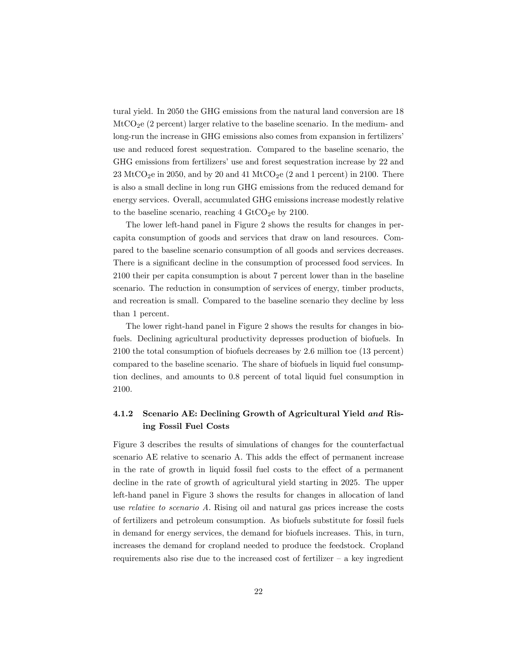tural yield. In 2050 the GHG emissions from the natural land conversion are 18  $\text{MtCO}_2$ e (2 percent) larger relative to the baseline scenario. In the medium- and long-run the increase in GHG emissions also comes from expansion in fertilizers<sup>7</sup> use and reduced forest sequestration. Compared to the baseline scenario, the GHG emissions from fertilizers' use and forest sequestration increase by 22 and  $23 \text{ MtCO}_2$ e in 2050, and by 20 and 41 MtCO<sub>2</sub>e (2 and 1 percent) in 2100. There is also a small decline in long run GHG emissions from the reduced demand for energy services. Overall, accumulated GHG emissions increase modestly relative to the baseline scenario, reaching  $4 \text{ GtCO}_2$ e by 2100.

The lower left-hand panel in Figure 2 shows the results for changes in percapita consumption of goods and services that draw on land resources. Compared to the baseline scenario consumption of all goods and services decreases. There is a significant decline in the consumption of processed food services. In 2100 their per capita consumption is about 7 percent lower than in the baseline scenario. The reduction in consumption of services of energy, timber products, and recreation is small. Compared to the baseline scenario they decline by less than 1 percent.

The lower right-hand panel in Figure 2 shows the results for changes in biofuels. Declining agricultural productivity depresses production of biofuels. In 2100 the total consumption of biofuels decreases by 2.6 million toe (13 percent) compared to the baseline scenario. The share of biofuels in liquid fuel consumption declines, and amounts to 0.8 percent of total liquid fuel consumption in 2100.

## 4.1.2 Scenario AE: Declining Growth of Agricultural Yield and Rising Fossil Fuel Costs

Figure 3 describes the results of simulations of changes for the counterfactual scenario AE relative to scenario A. This adds the effect of permanent increase in the rate of growth in liquid fossil fuel costs to the effect of a permanent decline in the rate of growth of agricultural yield starting in 2025. The upper left-hand panel in Figure 3 shows the results for changes in allocation of land use relative to scenario A. Rising oil and natural gas prices increase the costs of fertilizers and petroleum consumption. As biofuels substitute for fossil fuels in demand for energy services, the demand for biofuels increases. This, in turn, increases the demand for cropland needed to produce the feedstock. Cropland requirements also rise due to the increased cost of fertilizer  $-$  a key ingredient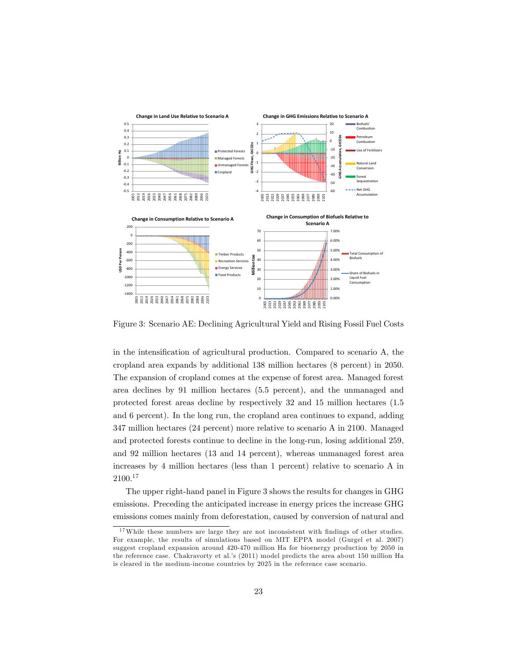

Figure 3: Scenario AE: Declining Agricultural Yield and Rising Fossil Fuel Costs

in the intensification of agricultural production. Compared to scenario A, the cropland area expands by additional 138 million hectares (8 percent) in 2050. The expansion of cropland comes at the expense of forest area. Managed forest area declines by 91 million hectares (5.5 percent), and the unmanaged and protected forest areas decline by respectively 32 and 15 million hectares (1.5 and 6 percent). In the long run, the cropland area continues to expand, adding 347 million hectares (24 percent) more relative to scenario A in 2100. Managed and protected forests continue to decline in the long-run, losing additional 259, and 92 million hectares (13 and 14 percent), whereas unmanaged forest area increases by 4 million hectares (less than 1 percent) relative to scenario A in 2100.<sup>17</sup>

The upper right-hand panel in Figure 3 shows the results for changes in GHG emissions. Preceding the anticipated increase in energy prices the increase GHG emissions comes mainly from deforestation, caused by conversion of natural and

 $17$ While these numbers are large they are not inconsistent with findings of other studies. For example, the results of simulations based on MIT EPPA model (Gurgel et al. 2007) suggest cropland expansion around 420-470 million Ha for bioenergy production by 2050 in the reference case. Chakravorty et al.'s (2011) model predicts the area about 150 million Ha is cleared in the medium-income countries by 2025 in the reference case scenario.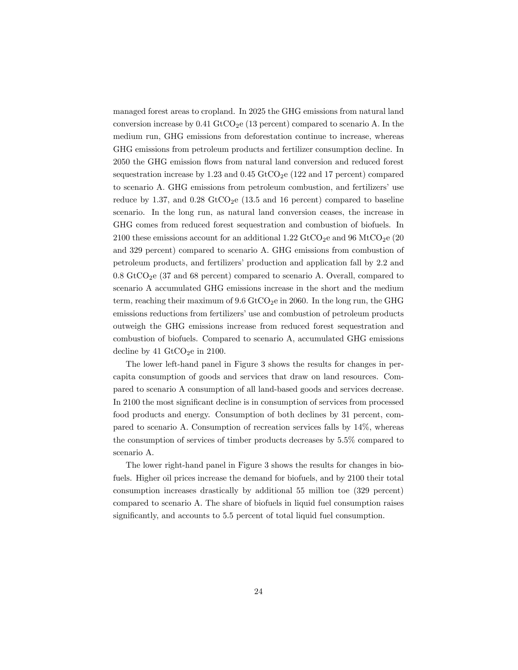managed forest areas to cropland. In 2025 the GHG emissions from natural land conversion increase by  $0.41 \text{ GtCO}_2$ e (13 percent) compared to scenario A. In the medium run, GHG emissions from deforestation continue to increase, whereas GHG emissions from petroleum products and fertilizer consumption decline. In 2050 the GHG emission flows from natural land conversion and reduced forest sequestration increase by 1.23 and 0.45  $GtCO<sub>2</sub>e$  (122 and 17 percent) compared to scenario A. GHG emissions from petroleum combustion, and fertilizers' use reduce by 1.37, and  $0.28 \text{ GtCO}_2$ e (13.5 and 16 percent) compared to baseline scenario. In the long run, as natural land conversion ceases, the increase in GHG comes from reduced forest sequestration and combustion of biofuels. In 2100 these emissions account for an additional 1.22 GtCO<sub>2</sub>e and 96 MtCO<sub>2</sub>e (20) and 329 percent) compared to scenario A. GHG emissions from combustion of petroleum products, and fertilizersíproduction and application fall by 2.2 and  $0.8$  GtCO<sub>2</sub>e (37 and 68 percent) compared to scenario A. Overall, compared to scenario A accumulated GHG emissions increase in the short and the medium term, reaching their maximum of  $9.6$  GtCO<sub>2</sub>e in 2060. In the long run, the GHG emissions reductions from fertilizers' use and combustion of petroleum products outweigh the GHG emissions increase from reduced forest sequestration and combustion of biofuels. Compared to scenario A, accumulated GHG emissions decline by 41  $\text{GtCO}_2$ e in 2100.

The lower left-hand panel in Figure 3 shows the results for changes in percapita consumption of goods and services that draw on land resources. Compared to scenario A consumption of all land-based goods and services decrease. In 2100 the most significant decline is in consumption of services from processed food products and energy. Consumption of both declines by 31 percent, compared to scenario A. Consumption of recreation services falls by 14%, whereas the consumption of services of timber products decreases by 5.5% compared to scenario A.

The lower right-hand panel in Figure 3 shows the results for changes in biofuels. Higher oil prices increase the demand for biofuels, and by 2100 their total consumption increases drastically by additional 55 million toe (329 percent) compared to scenario A. The share of biofuels in liquid fuel consumption raises significantly, and accounts to 5.5 percent of total liquid fuel consumption.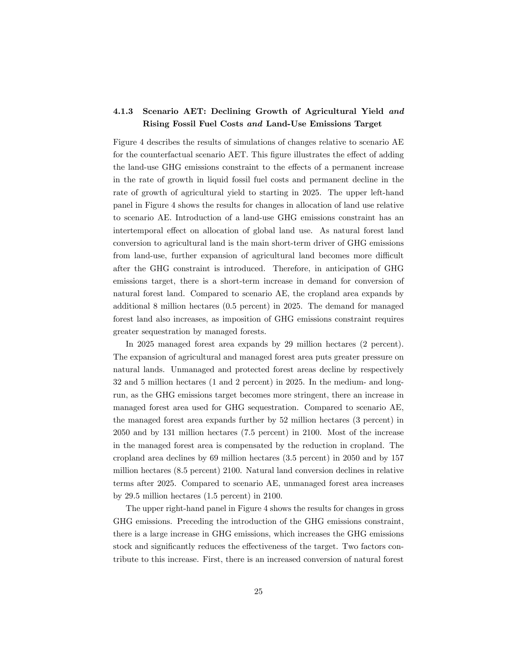## 4.1.3 Scenario AET: Declining Growth of Agricultural Yield and Rising Fossil Fuel Costs and Land-Use Emissions Target

Figure 4 describes the results of simulations of changes relative to scenario AE for the counterfactual scenario AET. This figure illustrates the effect of adding the land-use GHG emissions constraint to the effects of a permanent increase in the rate of growth in liquid fossil fuel costs and permanent decline in the rate of growth of agricultural yield to starting in 2025. The upper left-hand panel in Figure 4 shows the results for changes in allocation of land use relative to scenario AE. Introduction of a land-use GHG emissions constraint has an intertemporal effect on allocation of global land use. As natural forest land conversion to agricultural land is the main short-term driver of GHG emissions from land-use, further expansion of agricultural land becomes more difficult after the GHG constraint is introduced. Therefore, in anticipation of GHG emissions target, there is a short-term increase in demand for conversion of natural forest land. Compared to scenario AE, the cropland area expands by additional 8 million hectares (0.5 percent) in 2025. The demand for managed forest land also increases, as imposition of GHG emissions constraint requires greater sequestration by managed forests.

In 2025 managed forest area expands by 29 million hectares (2 percent). The expansion of agricultural and managed forest area puts greater pressure on natural lands. Unmanaged and protected forest areas decline by respectively 32 and 5 million hectares (1 and 2 percent) in 2025. In the medium- and longrun, as the GHG emissions target becomes more stringent, there an increase in managed forest area used for GHG sequestration. Compared to scenario AE, the managed forest area expands further by 52 million hectares (3 percent) in 2050 and by 131 million hectares (7.5 percent) in 2100. Most of the increase in the managed forest area is compensated by the reduction in cropland. The cropland area declines by 69 million hectares (3.5 percent) in 2050 and by 157 million hectares (8.5 percent) 2100. Natural land conversion declines in relative terms after 2025. Compared to scenario AE, unmanaged forest area increases by 29.5 million hectares (1.5 percent) in 2100.

The upper right-hand panel in Figure 4 shows the results for changes in gross GHG emissions. Preceding the introduction of the GHG emissions constraint, there is a large increase in GHG emissions, which increases the GHG emissions stock and significantly reduces the effectiveness of the target. Two factors contribute to this increase. First, there is an increased conversion of natural forest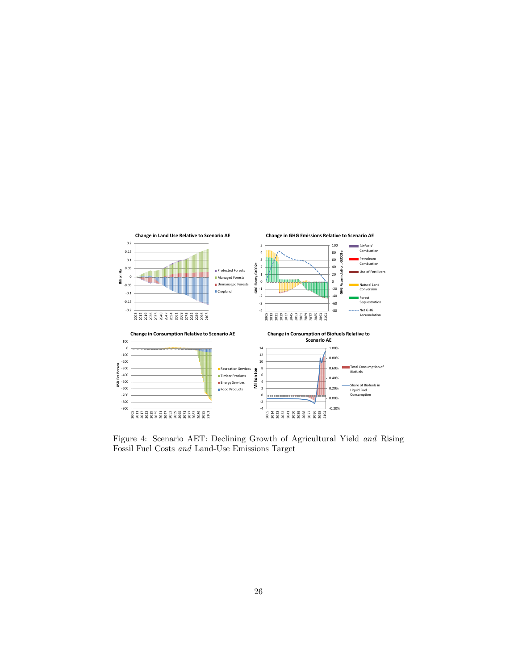

Figure 4: Scenario AET: Declining Growth of Agricultural Yield and Rising Fossil Fuel Costs and Land-Use Emissions Target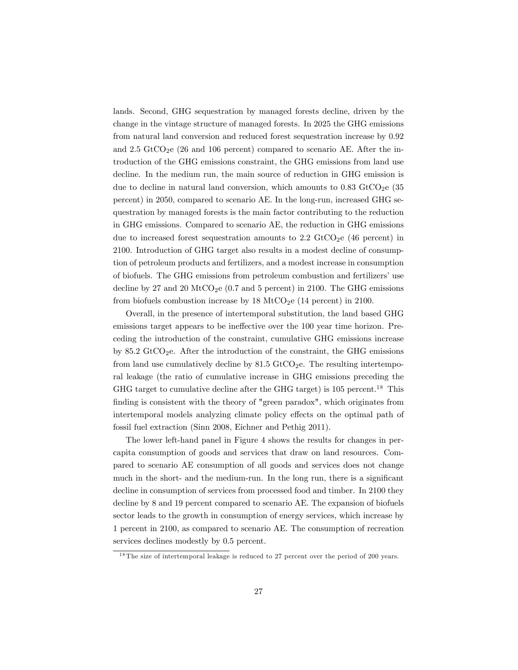lands. Second, GHG sequestration by managed forests decline, driven by the change in the vintage structure of managed forests. In 2025 the GHG emissions from natural land conversion and reduced forest sequestration increase by 0.92 and 2.5  $GtCO<sub>2</sub>e$  (26 and 106 percent) compared to scenario AE. After the introduction of the GHG emissions constraint, the GHG emissions from land use decline. In the medium run, the main source of reduction in GHG emission is due to decline in natural land conversion, which amounts to  $0.83$  GtCO<sub>2</sub>e (35) percent) in 2050, compared to scenario AE. In the long-run, increased GHG sequestration by managed forests is the main factor contributing to the reduction in GHG emissions. Compared to scenario AE, the reduction in GHG emissions due to increased forest sequestration amounts to  $2.2 \text{ GtCO}_2$ e (46 percent) in 2100. Introduction of GHG target also results in a modest decline of consumption of petroleum products and fertilizers, and a modest increase in consumption of biofuels. The GHG emissions from petroleum combustion and fertilizers' use decline by 27 and 20 MtCO<sub>2</sub>e (0.7 and 5 percent) in 2100. The GHG emissions from biofuels combustion increase by 18 MtCO<sub>2</sub>e (14 percent) in 2100.

Overall, in the presence of intertemporal substitution, the land based GHG emissions target appears to be ineffective over the 100 year time horizon. Preceding the introduction of the constraint, cumulative GHG emissions increase by 85.2 GtCO<sub>2</sub>e. After the introduction of the constraint, the GHG emissions from land use cumulatively decline by  $81.5 \text{ GtCO}_2$ e. The resulting intertemporal leakage (the ratio of cumulative increase in GHG emissions preceding the GHG target to cumulative decline after the GHG target) is  $105$  percent.<sup>18</sup> This finding is consistent with the theory of "green paradox", which originates from intertemporal models analyzing climate policy effects on the optimal path of fossil fuel extraction (Sinn 2008, Eichner and Pethig 2011).

The lower left-hand panel in Figure 4 shows the results for changes in percapita consumption of goods and services that draw on land resources. Compared to scenario AE consumption of all goods and services does not change much in the short- and the medium-run. In the long run, there is a significant decline in consumption of services from processed food and timber. In 2100 they decline by 8 and 19 percent compared to scenario AE. The expansion of biofuels sector leads to the growth in consumption of energy services, which increase by 1 percent in 2100, as compared to scenario AE. The consumption of recreation services declines modestly by 0.5 percent.

<sup>18</sup> The size of intertemporal leakage is reduced to 27 percent over the period of 200 years.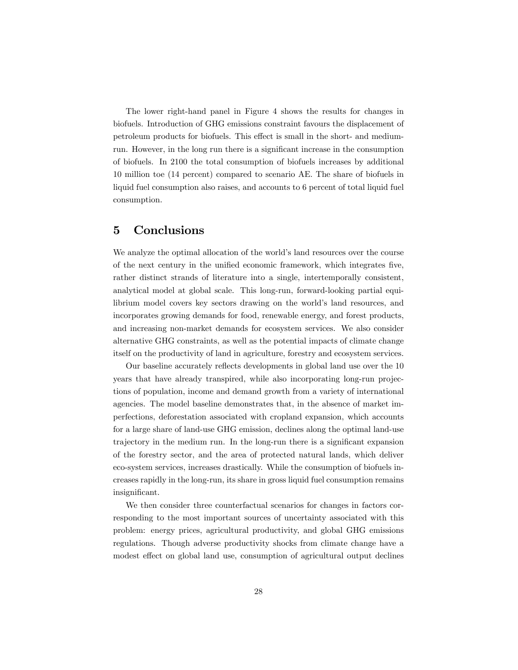The lower right-hand panel in Figure 4 shows the results for changes in biofuels. Introduction of GHG emissions constraint favours the displacement of petroleum products for biofuels. This effect is small in the short- and mediumrun. However, in the long run there is a significant increase in the consumption of biofuels. In 2100 the total consumption of biofuels increases by additional 10 million toe (14 percent) compared to scenario AE. The share of biofuels in liquid fuel consumption also raises, and accounts to 6 percent of total liquid fuel consumption.

## 5 Conclusions

We analyze the optimal allocation of the world's land resources over the course of the next century in the unified economic framework, which integrates five, rather distinct strands of literature into a single, intertemporally consistent, analytical model at global scale. This long-run, forward-looking partial equilibrium model covers key sectors drawing on the world's land resources, and incorporates growing demands for food, renewable energy, and forest products, and increasing non-market demands for ecosystem services. We also consider alternative GHG constraints, as well as the potential impacts of climate change itself on the productivity of land in agriculture, forestry and ecosystem services.

Our baseline accurately reflects developments in global land use over the 10 years that have already transpired, while also incorporating long-run projections of population, income and demand growth from a variety of international agencies. The model baseline demonstrates that, in the absence of market imperfections, deforestation associated with cropland expansion, which accounts for a large share of land-use GHG emission, declines along the optimal land-use trajectory in the medium run. In the long-run there is a significant expansion of the forestry sector, and the area of protected natural lands, which deliver eco-system services, increases drastically. While the consumption of biofuels increases rapidly in the long-run, its share in gross liquid fuel consumption remains insignificant.

We then consider three counterfactual scenarios for changes in factors corresponding to the most important sources of uncertainty associated with this problem: energy prices, agricultural productivity, and global GHG emissions regulations. Though adverse productivity shocks from climate change have a modest effect on global land use, consumption of agricultural output declines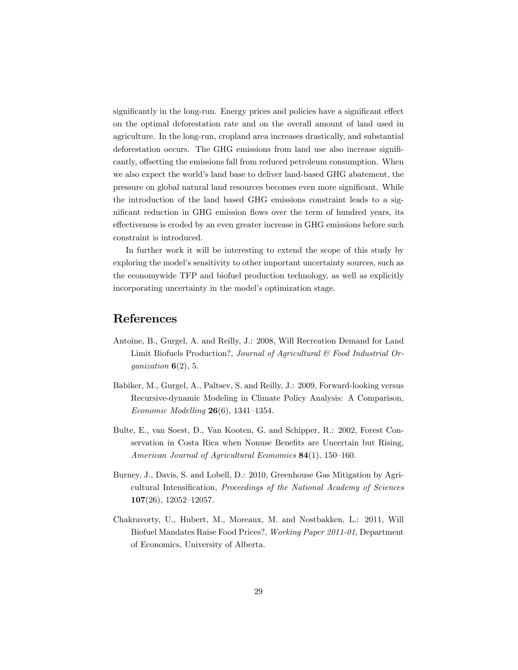significantly in the long-run. Energy prices and policies have a significant effect on the optimal deforestation rate and on the overall amount of land used in agriculture. In the long-run, cropland area increases drastically, and substantial deforestation occurs. The GHG emissions from land use also increase significantly, offsetting the emissions fall from reduced petroleum consumption. When we also expect the world's land base to deliver land-based GHG abatement, the pressure on global natural land resources becomes even more significant. While the introduction of the land based GHG emissions constraint leads to a significant reduction in GHG emission flows over the term of hundred years, its effectiveness is eroded by an even greater increase in GHG emissions before such constraint is introduced.

In further work it will be interesting to extend the scope of this study by exploring the model's sensitivity to other important uncertainty sources, such as the economywide TFP and biofuel production technology, as well as explicitly incorporating uncertainty in the model's optimization stage.

# References

- Antoine, B., Gurgel, A. and Reilly, J.: 2008, Will Recreation Demand for Land Limit Biofuels Production?, Journal of Agricultural & Food Industrial Organization  $6(2)$ , 5.
- Babiker, M., Gurgel, A., Paltsev, S. and Reilly, J.: 2009, Forward-looking versus Recursive-dynamic Modeling in Climate Policy Analysis: A Comparison, Economic Modelling  $26(6)$ , 1341–1354.
- Bulte, E., van Soest, D., Van Kooten, G. and Schipper, R.: 2002, Forest Conservation in Costa Rica when Nonuse Benefits are Uncertain but Rising, American Journal of Agricultural Economics  $84(1)$ , 150-160.
- Burney, J., Davis, S. and Lobell, D.: 2010, Greenhouse Gas Mitigation by Agricultural Intensification, Proceedings of the National Academy of Sciences  $107(26)$ , 12052-12057.
- Chakravorty, U., Hubert, M., Moreaux, M. and Nostbakken, L.: 2011, Will Biofuel Mandates Raise Food Prices?, Working Paper 2011-01, Department of Economics, University of Alberta.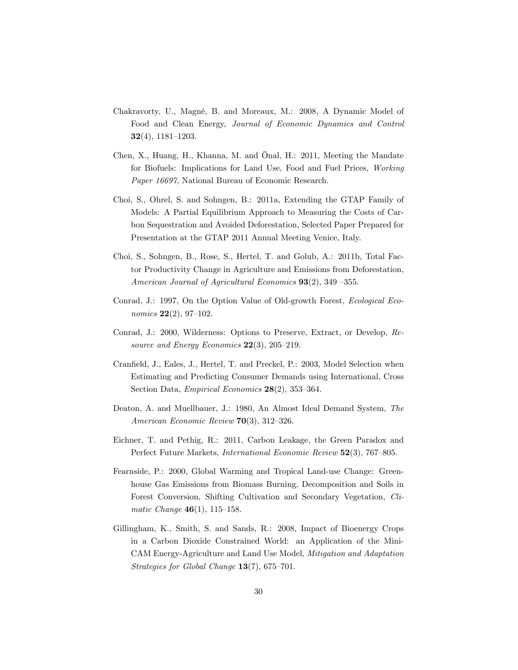- Chakravorty, U., Magné, B. and Moreaux, M.: 2008, A Dynamic Model of Food and Clean Energy, Journal of Economic Dynamics and Control  $32(4)$ , 1181-1203.
- Chen, X., Huang, H., Khanna, M. and Önal, H.: 2011, Meeting the Mandate for Biofuels: Implications for Land Use, Food and Fuel Prices, Working Paper 16697, National Bureau of Economic Research.
- Choi, S., Ohrel, S. and Sohngen, B.: 2011a, Extending the GTAP Family of Models: A Partial Equilibrium Approach to Measuring the Costs of Carbon Sequestration and Avoided Deforestation, Selected Paper Prepared for Presentation at the GTAP 2011 Annual Meeting Venice, Italy.
- Choi, S., Sohngen, B., Rose, S., Hertel, T. and Golub, A.: 2011b, Total Factor Productivity Change in Agriculture and Emissions from Deforestation, American Journal of Agricultural Economics  $93(2)$ , 349 -355.
- Conrad, J.: 1997, On the Option Value of Old-growth Forest, Ecological Economics  $22(2)$ , 97-102.
- Conrad, J.: 2000, Wilderness: Options to Preserve, Extract, or Develop, Resource and Energy Economics  $22(3)$ ,  $205-219$ .
- Cranfield, J., Eales, J., Hertel, T. and Preckel, P.: 2003, Model Selection when Estimating and Predicting Consumer Demands using International, Cross Section Data, *Empirical Economics*  $28(2)$ , 353-364.
- Deaton, A. and Muellbauer, J.: 1980, An Almost Ideal Demand System, The American Economic Review  $70(3)$ , 312-326.
- Eichner, T. and Pethig, R.: 2011, Carbon Leakage, the Green Paradox and Perfect Future Markets, *International Economic Review* 52(3), 767–805.
- Fearnside, P.: 2000, Global Warming and Tropical Land-use Change: Greenhouse Gas Emissions from Biomass Burning, Decomposition and Soils in Forest Conversion, Shifting Cultivation and Secondary Vegetation, Climatic Change  $46(1)$ , 115-158.
- Gillingham, K., Smith, S. and Sands, R.: 2008, Impact of Bioenergy Crops in a Carbon Dioxide Constrained World: an Application of the Mini-CAM Energy-Agriculture and Land Use Model, Mitigation and Adaptation Strategies for Global Change  $13(7)$ , 675–701.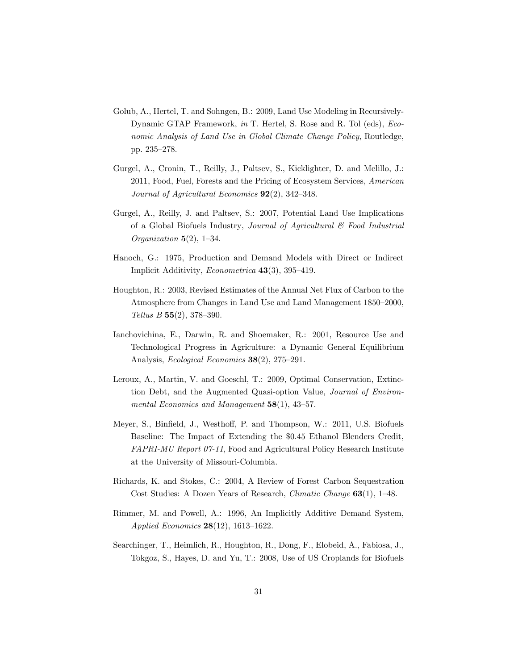- Golub, A., Hertel, T. and Sohngen, B.: 2009, Land Use Modeling in Recursively-Dynamic GTAP Framework, in T. Hertel, S. Rose and R. Tol (eds), *Eco*nomic Analysis of Land Use in Global Climate Change Policy, Routledge, pp. 235-278.
- Gurgel, A., Cronin, T., Reilly, J., Paltsev, S., Kicklighter, D. and Melillo, J.: 2011, Food, Fuel, Forests and the Pricing of Ecosystem Services, American Journal of Agricultural Economics  $92(2)$ , 342–348.
- Gurgel, A., Reilly, J. and Paltsev, S.: 2007, Potential Land Use Implications of a Global Biofuels Industry, Journal of Agricultural  $\mathcal C$  Food Industrial Organization  $5(2)$ , 1-34.
- Hanoch, G.: 1975, Production and Demand Models with Direct or Indirect Implicit Additivity, *Econometrica*  $43(3)$ , 395–419.
- Houghton, R.: 2003, Revised Estimates of the Annual Net Flux of Carbon to the Atmosphere from Changes in Land Use and Land Management 1850–2000, Tellus B  $55(2)$ , 378–390.
- Ianchovichina, E., Darwin, R. and Shoemaker, R.: 2001, Resource Use and Technological Progress in Agriculture: a Dynamic General Equilibrium Analysis, *Ecological Economics*  $38(2)$ ,  $275-291$ .
- Leroux, A., Martin, V. and Goeschl, T.: 2009, Optimal Conservation, Extinction Debt, and the Augmented Quasi-option Value, *Journal of Environ*mental Economics and Management  $58(1)$ ,  $43-57$ .
- Meyer, S., Binfield, J., Westhoff, P. and Thompson, W.: 2011, U.S. Biofuels Baseline: The Impact of Extending the \$0.45 Ethanol Blenders Credit, FAPRI-MU Report 07-11, Food and Agricultural Policy Research Institute at the University of Missouri-Columbia.
- Richards, K. and Stokes, C.: 2004, A Review of Forest Carbon Sequestration Cost Studies: A Dozen Years of Research, *Climatic Change* 63(1), 1-48.
- Rimmer, M. and Powell, A.: 1996, An Implicitly Additive Demand System, Applied Economics  $28(12)$ , 1613-1622.
- Searchinger, T., Heimlich, R., Houghton, R., Dong, F., Elobeid, A., Fabiosa, J., Tokgoz, S., Hayes, D. and Yu, T.: 2008, Use of US Croplands for Biofuels